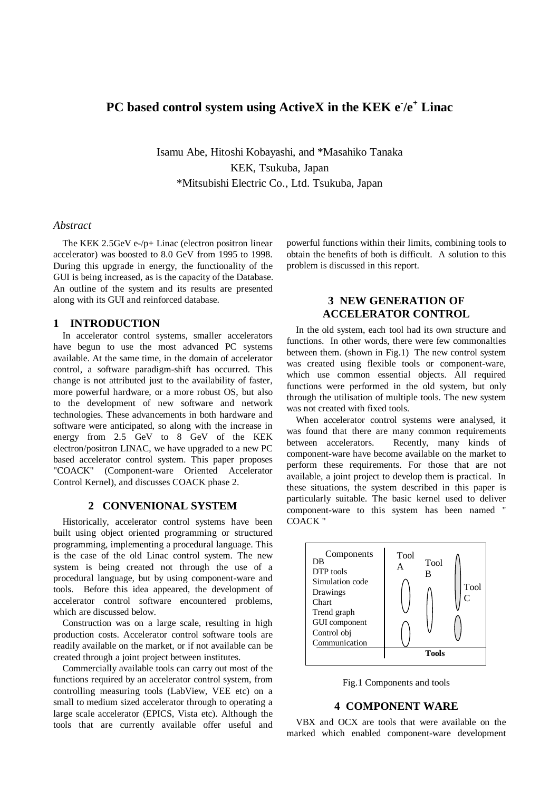# **PC based control system using ActiveX in the KEK e- /e+ Linac**

Isamu Abe, Hitoshi Kobayashi, and \*Masahiko Tanaka KEK, Tsukuba, Japan \*Mitsubishi Electric Co., Ltd. Tsukuba, Japan

#### *Abstract*

The KEK 2.5GeV e-/p+ Linac (electron positron linear accelerator) was boosted to 8.0 GeV from 1995 to 1998. During this upgrade in energy, the functionality of the GUI is being increased, as is the capacity of the Database. An outline of the system and its results are presented along with its GUI and reinforced database.

## **1 INTRODUCTION**

In accelerator control systems, smaller accelerators have begun to use the most advanced PC systems available. At the same time, in the domain of accelerator control, a software paradigm-shift has occurred. This change is not attributed just to the availability of faster, more powerful hardware, or a more robust OS, but also to the development of new software and network technologies. These advancements in both hardware and software were anticipated, so along with the increase in energy from 2.5 GeV to 8 GeV of the KEK electron/positron LINAC, we have upgraded to a new PC based accelerator control system. This paper proposes "COACK" (Component-ware Oriented Accelerator Control Kernel), and discusses COACK phase 2.

## **2 CONVENIONAL SYSTEM**

Historically, accelerator control systems have been built using object oriented programming or structured programming, implementing a procedural language. This is the case of the old Linac control system. The new system is being created not through the use of a procedural language, but by using component-ware and tools. Before this idea appeared, the development of accelerator control software encountered problems, which are discussed below.

Construction was on a large scale, resulting in high production costs. Accelerator control software tools are readily available on the market, or if not available can be created through a joint project between institutes.

Commercially available tools can carry out most of the functions required by an accelerator control system, from controlling measuring tools (LabView, VEE etc) on a small to medium sized accelerator through to operating a large scale accelerator (EPICS, Vista etc). Although the tools that are currently available offer useful and

powerful functions within their limits, combining tools to obtain the benefits of both is difficult. A solution to this problem is discussed in this report.

# **3 NEW GENERATION OF ACCELERATOR CONTROL**

In the old system, each tool had its own structure and functions. In other words, there were few commonalties between them. (shown in Fig.1) The new control system was created using flexible tools or component-ware, which use common essential objects. All required functions were performed in the old system, but only through the utilisation of multiple tools. The new system was not created with fixed tools.

When accelerator control systems were analysed, it was found that there are many common requirements between accelerators. Recently, many kinds of component-ware have become available on the market to perform these requirements. For those that are not available, a joint project to develop them is practical. In these situations, the system described in this paper is particularly suitable. The basic kernel used to deliver component-ware to this system has been named " COACK "



Fig.1 Components and tools

## **4 COMPONENT WARE**

VBX and OCX are tools that were available on the marked which enabled component-ware development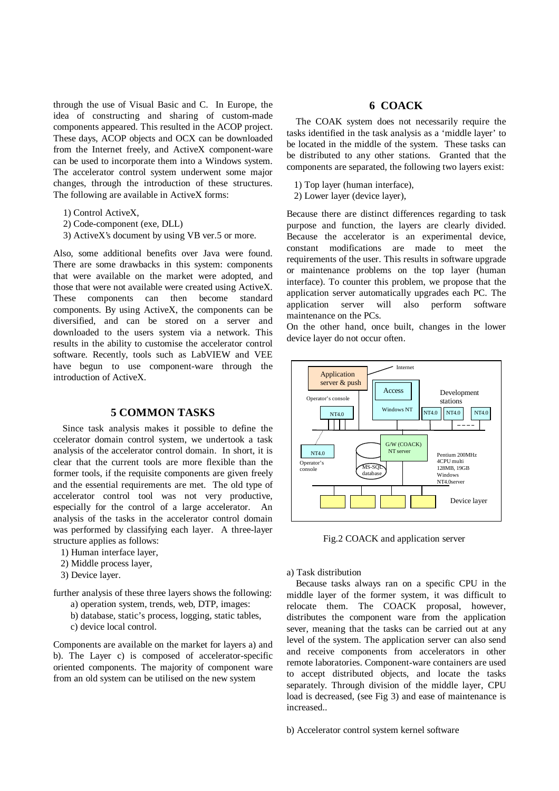through the use of Visual Basic and C. In Europe, the idea of constructing and sharing of custom-made components appeared. This resulted in the ACOP project. These days, ACOP objects and OCX can be downloaded from the Internet freely, and ActiveX component-ware can be used to incorporate them into a Windows system. The accelerator control system underwent some major changes, through the introduction of these structures. The following are available in ActiveX forms:

- 1) Control ActiveX,
- 2) Code-component (exe, DLL)
- 3) ActiveX's document by using VB ver.5 or more.

Also, some additional benefits over Java were found. There are some drawbacks in this system: components that were available on the market were adopted, and those that were not available were created using ActiveX. These components can then become standard components. By using ActiveX, the components can be diversified, and can be stored on a server and downloaded to the users system via a network. This results in the ability to customise the accelerator control software. Recently, tools such as LabVIEW and VEE have begun to use component-ware through the introduction of ActiveX.

# **5 COMMON TASKS**

Since task analysis makes it possible to define the ccelerator domain control system, we undertook a task analysis of the accelerator control domain. In short, it is clear that the current tools are more flexible than the former tools, if the requisite components are given freely and the essential requirements are met. The old type of accelerator control tool was not very productive, especially for the control of a large accelerator. An analysis of the tasks in the accelerator control domain was performed by classifying each layer. A three-layer structure applies as follows:

- 1) Human interface layer,
- 2) Middle process layer,
- 3) Device layer.

further analysis of these three layers shows the following:

- a) operation system, trends, web, DTP, images:
- b) database, static's process, logging, static tables,
- c) device local control.

Components are available on the market for layers a) and b). The Layer c) is composed of accelerator-specific oriented components. The majority of component ware from an old system can be utilised on the new system

# **6 COACK**

The COAK system does not necessarily require the tasks identified in the task analysis as a 'middle layer' to be located in the middle of the system. These tasks can be distributed to any other stations. Granted that the components are separated, the following two layers exist:

1) Top layer (human interface),

2) Lower layer (device layer),

Because there are distinct differences regarding to task purpose and function, the layers are clearly divided. Because the accelerator is an experimental device, constant modifications are made to meet the requirements of the user. This results in software upgrade or maintenance problems on the top layer (human interface). To counter this problem, we propose that the application server automatically upgrades each PC. The application server will also perform software maintenance on the PCs.

On the other hand, once built, changes in the lower device layer do not occur often.



Fig.2 COACK and application server

a) Task distribution

Because tasks always ran on a specific CPU in the middle layer of the former system, it was difficult to relocate them. The COACK proposal, however, distributes the component ware from the application sever, meaning that the tasks can be carried out at any level of the system. The application server can also send and receive components from accelerators in other remote laboratories. Component-ware containers are used to accept distributed objects, and locate the tasks separately. Through division of the middle layer, CPU load is decreased, (see Fig 3) and ease of maintenance is increased..

b) Accelerator control system kernel software